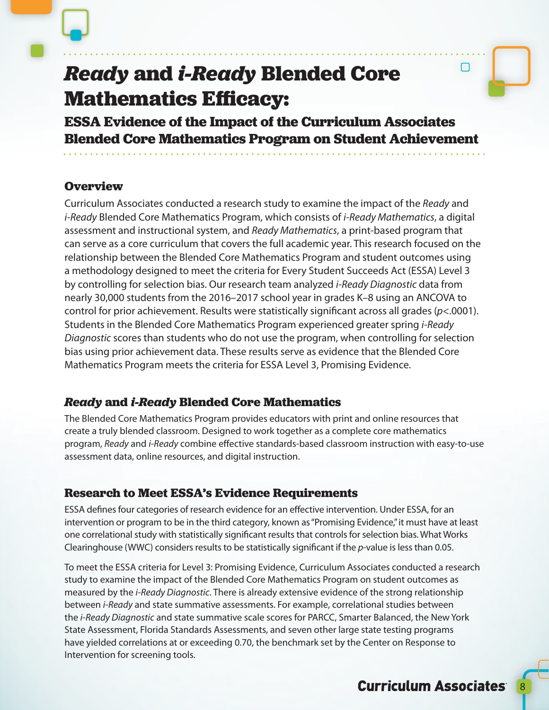

# *Ready* **and** *i-Ready* **Blended Core Mathematics Efficacy:**

**ESSA Evidence of the Impact of the Curriculum Associates Blended Core Mathematics Program on Student Achievement**

# **Overview**

Curriculum Associates conducted a research study to examine the impact of the *Ready* and *i-Ready* Blended Core Mathematics Program, which consists of *i-Ready Mathematics*, a digital assessment and instructional system, and *Ready Mathematics*, a print-based program that can serve as a core curriculum that covers the full academic year. This research focused on the relationship between the Blended Core Mathematics Program and student outcomes using a methodology designed to meet the criteria for Every Student Succeeds Act (ESSA) Level 3 by controlling for selection bias. Our research team analyzed *i-Ready Diagnostic* data from nearly 30,000 students from the 2016–2017 school year in grades K–8 using an ANCOVA to control for prior achievement. Results were statistically significant across all grades (*p*<.0001). Students in the Blended Core Mathematics Program experienced greater spring *i-Ready Diagnostic* scores than students who do not use the program, when controlling for selection bias using prior achievement data. These results serve as evidence that the Blended Core Mathematics Program meets the criteria for ESSA Level 3, Promising Evidence.

# *Ready* **and** *i-Ready* **Blended Core Mathematics**

The Blended Core Mathematics Program provides educators with print and online resources that create a truly blended classroom. Designed to work together as a complete core mathematics program, *Ready* and *i-Ready* combine effective standards-based classroom instruction with easy-to-use assessment data, online resources, and digital instruction.

# **Research to Meet ESSA's Evidence Requirements**

ESSA defines four categories of research evidence for an effective intervention. Under ESSA, for an intervention or program to be in the third category, known as "Promising Evidence," it must have at least one correlational study with statistically significant results that controls for selection bias. What Works Clearinghouse (WWC) considers results to be statistically significant if the *p*-value is less than 0.05.

To meet the ESSA criteria for Level 3: Promising Evidence, Curriculum Associates conducted a research study to examine the impact of the Blended Core Mathematics Program on student outcomes as measured by the *i-Ready Diagnostic*. There is already extensive evidence of the strong relationship between *i-Ready* and state summative assessments. For example, correlational studies between the *i-Ready Diagnostic* and state summative scale scores for PARCC, Smarter Balanced, the New York State Assessment, Florida Standards Assessments, and seven other large state testing programs have yielded correlations at or exceeding 0.70, the benchmark set by the Center on Response to Intervention for screening tools.

∩

3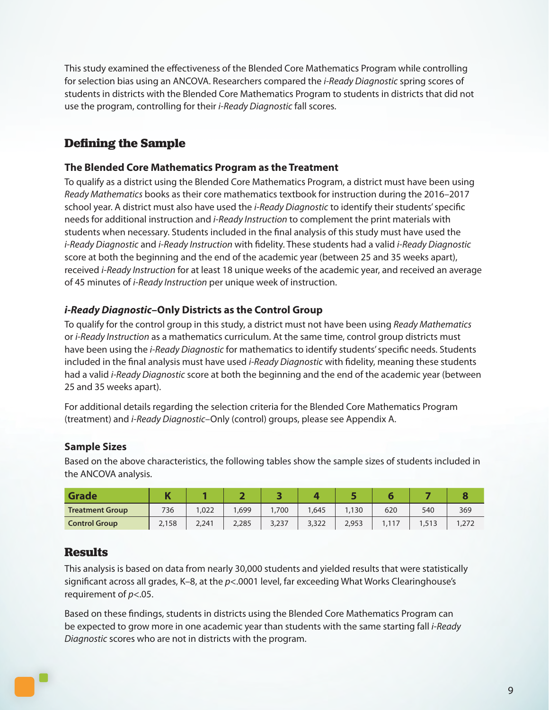This study examined the effectiveness of the Blended Core Mathematics Program while controlling for selection bias using an ANCOVA. Researchers compared the *i-Ready Diagnostic* spring scores of students in districts with the Blended Core Mathematics Program to students in districts that did not use the program, controlling for their *i-Ready Diagnostic* fall scores.

# **Defining the Sample**

#### **The Blended Core Mathematics Program as the Treatment**

To qualify as a district using the Blended Core Mathematics Program, a district must have been using *Ready Mathematics* books as their core mathematics textbook for instruction during the 2016–2017 school year. A district must also have used the *i-Ready Diagnostic* to identify their students' specific needs for additional instruction and *i-Ready Instruction* to complement the print materials with students when necessary. Students included in the final analysis of this study must have used the *i-Ready Diagnostic* and *i-Ready Instruction* with fidelity. These students had a valid *i-Ready Diagnostic* score at both the beginning and the end of the academic year (between 25 and 35 weeks apart), received *i-Ready Instruction* for at least 18 unique weeks of the academic year, and received an average of 45 minutes of *i-Ready Instruction* per unique week of instruction.

## *i-Ready Diagnostic***–Only Districts as the Control Group**

To qualify for the control group in this study, a district must not have been using *Ready Mathematics* or *i-Ready Instruction* as a mathematics curriculum. At the same time, control group districts must have been using the *i-Ready Diagnostic* for mathematics to identify students' specific needs. Students included in the final analysis must have used *i-Ready Diagnostic* with fidelity, meaning these students had a valid *i-Ready Diagnostic* score at both the beginning and the end of the academic year (between 25 and 35 weeks apart).

For additional details regarding the selection criteria for the Blended Core Mathematics Program (treatment) and *i-Ready Diagnostic*–Only (control) groups, please see Appendix A.

## **Sample Sizes**

Based on the above characteristics, the following tables show the sample sizes of students included in the ANCOVA analysis.

| <b>Grade</b>           | П,<br>. . |       |       |       |       |       |      |         |      |
|------------------------|-----------|-------|-------|-------|-------|-------|------|---------|------|
| <b>Treatment Group</b> | 736       | 1,022 | ,699  | 1,700 | .645  | 1.130 | 620  | 540     | 369  |
| <b>Control Group</b>   | 2,158     | 2,241 | 2,285 | 3,237 | 3,322 | 2,953 | 1117 | ر ۱ ر ۱ | ,272 |

## **Results**

This analysis is based on data from nearly 30,000 students and yielded results that were statistically significant across all grades, K–8, at the *p*<.0001 level, far exceeding What Works Clearinghouse's requirement of *p*<.05.

Based on these findings, students in districts using the Blended Core Mathematics Program can be expected to grow more in one academic year than students with the same starting fall *i-Ready Diagnostic* scores who are not in districts with the program.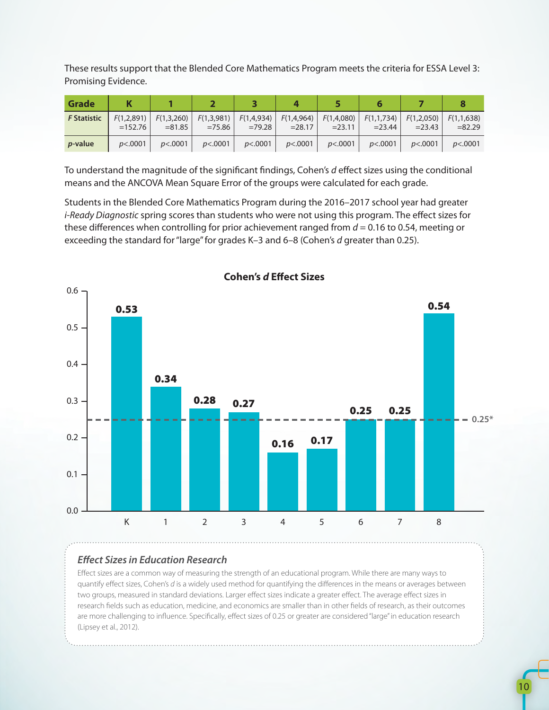These results support that the Blended Core Mathematics Program meets the criteria for ESSA Level 3: Promising Evidence.

| Grade              |                         |                         |                         |                        |                         |                         |                         |                         |                         |
|--------------------|-------------------------|-------------------------|-------------------------|------------------------|-------------------------|-------------------------|-------------------------|-------------------------|-------------------------|
| <b>F</b> Statistic | F(1,2,891)<br>$=152.76$ | F(1,3,260)<br>$= 81.85$ | F(1,3,981)<br>$= 75.86$ | F(1,4,934)<br>$=79.28$ | F(1,4,964)<br>$= 28.17$ | F(1,4,080)<br>$= 23.11$ | F(1,1,734)<br>$= 23.44$ | F(1,2,050)<br>$= 23.43$ | F(1,1,638)<br>$= 82.29$ |
| <i>p</i> -value    | p<.0001                 | p<.0001                 | p<.0001                 | p<.0001                | p<.0001                 | p<.0001                 | p<.0001                 | p<.0001                 | p<.0001                 |

To understand the magnitude of the significant findings, Cohen's *d* effect sizes using the conditional means and the ANCOVA Mean Square Error of the groups were calculated for each grade.

Students in the Blended Core Mathematics Program during the 2016–2017 school year had greater *i-Ready Diagnostic* spring scores than students who were not using this program. The effect sizes for these differences when controlling for prior achievement ranged from *d* = 0.16 to 0.54, meeting or exceeding the standard for "large" for grades K–3 and 6–8 (Cohen's *d* greater than 0.25).



**Cohen's** *d* **Effect Sizes**

## *Effect Sizes in Education Research*

Effect sizes are a common way of measuring the strength of an educational program. While there are many ways to quantify effect sizes, Cohen's *d* is a widely used method for quantifying the differences in the means or averages between two groups, measured in standard deviations. Larger effect sizes indicate a greater effect. The average effect sizes in research fields such as education, medicine, and economics are smaller than in other fields of research, as their outcomes are more challenging to influence. Specifically, effect sizes of 0.25 or greater are considered "large" in education research (Lipsey et al., 2012).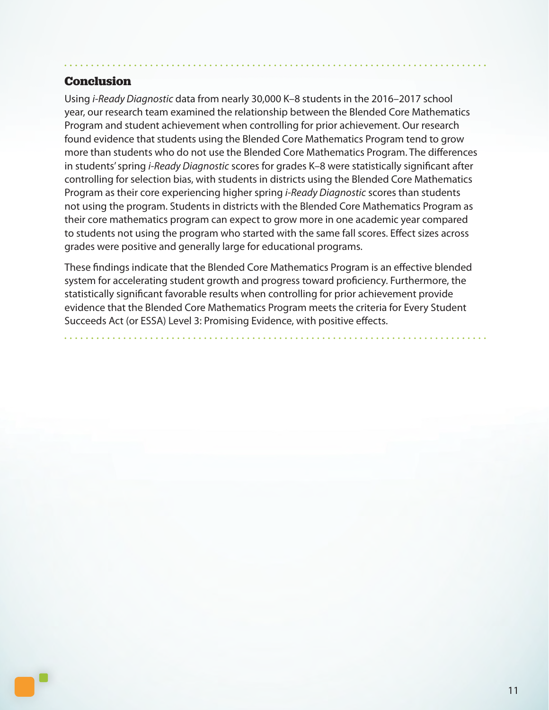## **Conclusion**

Using *i-Ready Diagnostic* data from nearly 30,000 K–8 students in the 2016–2017 school year, our research team examined the relationship between the Blended Core Mathematics Program and student achievement when controlling for prior achievement. Our research found evidence that students using the Blended Core Mathematics Program tend to grow more than students who do not use the Blended Core Mathematics Program. The differences in students' spring *i-Ready Diagnostic* scores for grades K–8 were statistically significant after controlling for selection bias, with students in districts using the Blended Core Mathematics Program as their core experiencing higher spring *i-Ready Diagnostic* scores than students not using the program. Students in districts with the Blended Core Mathematics Program as their core mathematics program can expect to grow more in one academic year compared to students not using the program who started with the same fall scores. Effect sizes across grades were positive and generally large for educational programs.

These findings indicate that the Blended Core Mathematics Program is an effective blended system for accelerating student growth and progress toward proficiency. Furthermore, the statistically significant favorable results when controlling for prior achievement provide evidence that the Blended Core Mathematics Program meets the criteria for Every Student Succeeds Act (or ESSA) Level 3: Promising Evidence, with positive effects.